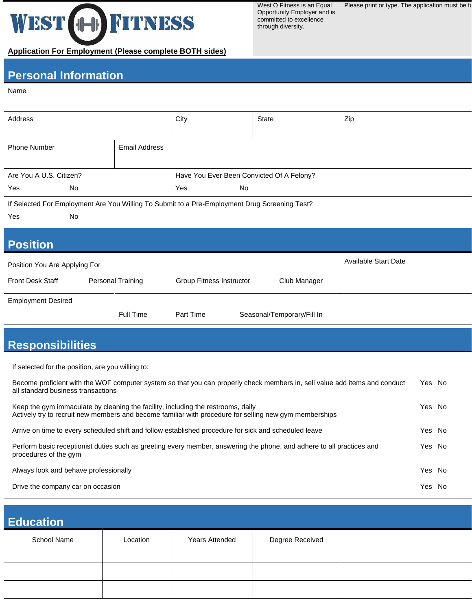# WEST 1H FITNESS **Application For Employment (Please complete BOTH sides)**

West O Fitness is an Equal Opportunity Employer and is committed to excellence through diversity.

Please print or type. The application must be full

## **Personal Information**

#### Name

 $\overline{a}$ 

 $\overline{a}$ 

| Address                                                                                       |                                           | City                            | State |                            | Zip                  |  |  |  |
|-----------------------------------------------------------------------------------------------|-------------------------------------------|---------------------------------|-------|----------------------------|----------------------|--|--|--|
| <b>Phone Number</b>                                                                           | <b>Email Address</b>                      |                                 |       |                            |                      |  |  |  |
| Are You A U.S. Citizen?                                                                       | Have You Ever Been Convicted Of A Felony? |                                 |       |                            |                      |  |  |  |
| Yes<br>No                                                                                     |                                           | Yes                             | No    |                            |                      |  |  |  |
| If Selected For Employment Are You Willing To Submit to a Pre-Employment Drug Screening Test? |                                           |                                 |       |                            |                      |  |  |  |
| Yes<br>No                                                                                     |                                           |                                 |       |                            |                      |  |  |  |
| <b>Position</b>                                                                               |                                           |                                 |       |                            |                      |  |  |  |
| Position You Are Applying For                                                                 |                                           |                                 |       |                            | Available Start Date |  |  |  |
| <b>Front Desk Staff</b>                                                                       | Personal Training                         | <b>Group Fitness Instructor</b> |       | Club Manager               |                      |  |  |  |
| <b>Employment Desired</b>                                                                     |                                           |                                 |       |                            |                      |  |  |  |
|                                                                                               | Full Time                                 | Part Time                       |       | Seasonal/Temporary/Fill In |                      |  |  |  |

### **Responsibilities**

If selected for the position, are you willing to:

| Become proficient with the WOF computer system so that you can properly check members in, sell value add items and conduct<br>all standard business transactions                           | Yes No |  |
|--------------------------------------------------------------------------------------------------------------------------------------------------------------------------------------------|--------|--|
| Keep the gym immaculate by cleaning the facility, including the restrooms, daily<br>Actively try to recruit new members and become familiar with procedure for selling new gym memberships | Yes No |  |
| Arrive on time to every scheduled shift and follow established procedure for sick and scheduled leave                                                                                      | Yes No |  |
| Perform basic receptionist duties such as greeting every member, answering the phone, and adhere to all practices and<br>procedures of the gym                                             | Yes No |  |
| Always look and behave professionally                                                                                                                                                      | Yes No |  |
| Drive the company car on occasion                                                                                                                                                          | Yes No |  |

# **Education** School Name And Location (Sears Attended Negree Received Name And Location Magnetic Metal Media Major Sears Attended